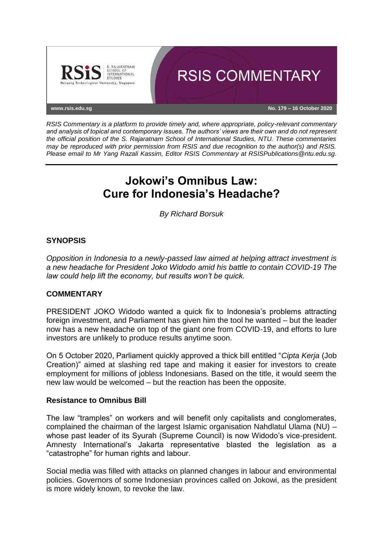

*RSIS Commentary is a platform to provide timely and, where appropriate, policy-relevant commentary and analysis of topical and contemporary issues. The authors' views are their own and do not represent the official position of the S. Rajaratnam School of International Studies, NTU. These commentaries may be reproduced with prior permission from RSIS and due recognition to the author(s) and RSIS. Please email to Mr Yang Razali Kassim, Editor RSIS Commentary at RSISPublications@ntu.edu.sg.*

# **Jokowi's Omnibus Law: Cure for Indonesia's Headache?**

*By Richard Borsuk*

## **SYNOPSIS**

*Opposition in Indonesia to a newly-passed law aimed at helping attract investment is a new headache for President Joko Widodo amid his battle to contain COVID-19 The law could help lift the economy, but results won't be quick.*

### **COMMENTARY**

PRESIDENT JOKO Widodo wanted a quick fix to Indonesia's problems attracting foreign investment, and Parliament has given him the tool he wanted – but the leader now has a new headache on top of the giant one from COVID-19, and efforts to lure investors are unlikely to produce results anytime soon.

On 5 October 2020, Parliament quickly approved a thick bill entitled "*Cipta Kerja* (Job Creation)" aimed at slashing red tape and making it easier for investors to create employment for millions of jobless Indonesians. Based on the title, it would seem the new law would be welcomed – but the reaction has been the opposite.

### **Resistance to Omnibus Bill**

The law "tramples" on workers and will benefit only capitalists and conglomerates, complained the chairman of the largest Islamic organisation Nahdlatul Ulama (NU) – whose past leader of its Syurah (Supreme Council) is now Widodo's vice-president. Amnesty International's Jakarta representative blasted the legislation as a "catastrophe" for human rights and labour.

Social media was filled with attacks on planned changes in labour and environmental policies. Governors of some Indonesian provinces called on Jokowi, as the president is more widely known, to revoke the law.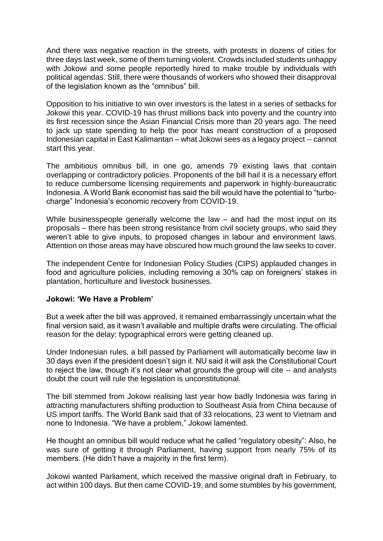And there was negative reaction in the streets, with protests in dozens of cities for three days last week, some of them turning violent. Crowds included students unhappy with Jokowi and some people reportedly hired to make trouble by individuals with political agendas. Still, there were thousands of workers who showed their disapproval of the legislation known as the "omnibus" bill.

Opposition to his initiative to win over investors is the latest in a series of setbacks for Jokowi this year. COVID-19 has thrust millions back into poverty and the country into its first recession since the Asian Financial Crisis more than 20 years ago. The need to jack up state spending to help the poor has meant construction of a proposed Indonesian capital in East Kalimantan – what Jokowi sees as a legacy project -- cannot start this year.

The ambitious omnibus bill, in one go, amends 79 existing laws that contain overlapping or contradictory policies. Proponents of the bill hail it is a necessary effort to reduce cumbersome licensing requirements and paperwork in highly-bureaucratic Indonesia. A World Bank economist has said the bill would have the potential to "turbocharge" Indonesia's economic recovery from COVID-19.

While businesspeople generally welcome the law – and had the most input on its proposals – there has been strong resistance from civil society groups, who said they weren't able to give inputs, to proposed changes in labour and environment laws. Attention on those areas may have obscured how much ground the law seeks to cover.

The independent Centre for Indonesian Policy Studies (CIPS) applauded changes in food and agriculture policies, including removing a 30% cap on foreigners' stakes in plantation, horticulture and livestock businesses.

### **Jokowi: 'We Have a Problem'**

But a week after the bill was approved, it remained embarrassingly uncertain what the final version said, as it wasn't available and multiple drafts were circulating. The official reason for the delay: typographical errors were getting cleaned up.

Under Indonesian rules, a bill passed by Parliament will automatically become law in 30 days even if the president doesn't sign it. NU said it will ask the Constitutional Court to reject the law, though it's not clear what grounds the group will cite -- and analysts doubt the court will rule the legislation is unconstitutional.

The bill stemmed from Jokowi realising last year how badly Indonesia was faring in attracting manufacturers shifting production to Southeast Asia from China because of US import tariffs. The World Bank said that of 33 relocations, 23 went to Vietnam and none to Indonesia. "We have a problem," Jokowi lamented.

He thought an omnibus bill would reduce what he called "regulatory obesity": Also, he was sure of getting it through Parliament, having support from nearly 75% of its members. (He didn't have a majority in the first term).

Jokowi wanted Parliament, which received the massive original draft in February, to act within 100 days. But then came COVID-19, and some stumbles by his government,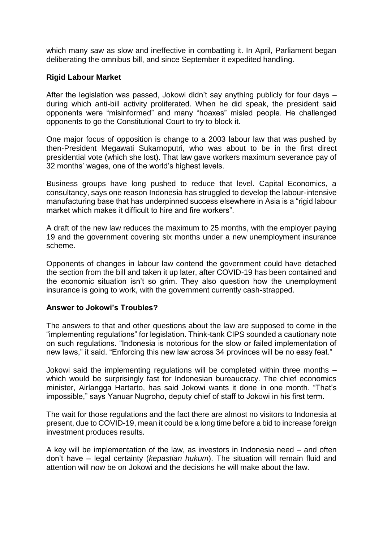which many saw as slow and ineffective in combatting it. In April, Parliament began deliberating the omnibus bill, and since September it expedited handling.

### **Rigid Labour Market**

After the legislation was passed, Jokowi didn't say anything publicly for four days – during which anti-bill activity proliferated. When he did speak, the president said opponents were "misinformed" and many "hoaxes" misled people. He challenged opponents to go the Constitutional Court to try to block it.

One major focus of opposition is change to a 2003 labour law that was pushed by then-President Megawati Sukarnoputri, who was about to be in the first direct presidential vote (which she lost). That law gave workers maximum severance pay of 32 months' wages, one of the world's highest levels.

Business groups have long pushed to reduce that level. Capital Economics, a consultancy, says one reason Indonesia has struggled to develop the labour-intensive manufacturing base that has underpinned success elsewhere in Asia is a "rigid labour market which makes it difficult to hire and fire workers".

A draft of the new law reduces the maximum to 25 months, with the employer paying 19 and the government covering six months under a new unemployment insurance scheme.

Opponents of changes in labour law contend the government could have detached the section from the bill and taken it up later, after COVID-19 has been contained and the economic situation isn't so grim. They also question how the unemployment insurance is going to work, with the government currently cash-strapped.

### **Answer to Jokowi's Troubles?**

The answers to that and other questions about the law are supposed to come in the "implementing regulations" for legislation. Think-tank CIPS sounded a cautionary note on such regulations. "Indonesia is notorious for the slow or failed implementation of new laws," it said. "Enforcing this new law across 34 provinces will be no easy feat."

Jokowi said the implementing regulations will be completed within three months – which would be surprisingly fast for Indonesian bureaucracy. The chief economics minister, Airlangga Hartarto, has said Jokowi wants it done in one month. "That's impossible," says Yanuar Nugroho, deputy chief of staff to Jokowi in his first term.

The wait for those regulations and the fact there are almost no visitors to Indonesia at present, due to COVID-19, mean it could be a long time before a bid to increase foreign investment produces results.

A key will be implementation of the law, as investors in Indonesia need – and often don't have – legal certainty (*kepastian hukum*). The situation will remain fluid and attention will now be on Jokowi and the decisions he will make about the law.